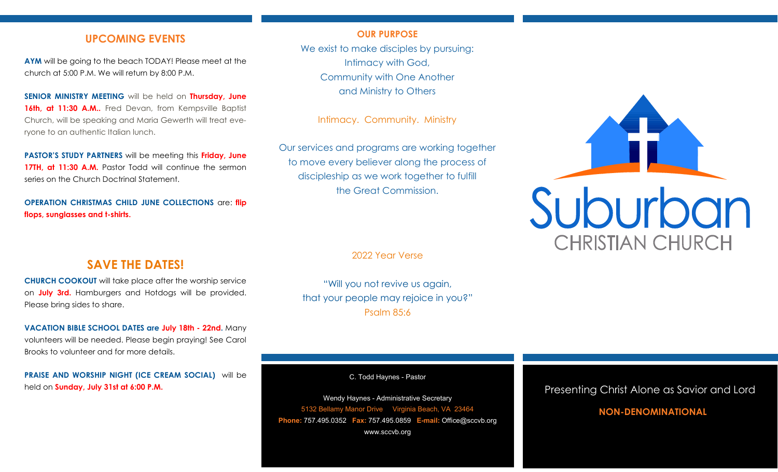## **UPCOMING EVENTS**

**AYM** will be going to the beach TODAY! Please meet at the church at 5:00 P.M. We will return by 8:00 P.M.

**SENIOR MINISTRY MEETING** will be held on **Thursday, June**  16th, at 11:30 A.M.. Fred Devan, from Kempsville Baptist Church, will be speaking and Maria Gewerth will treat everyone to an authentic Italian lunch.

**PASTOR'S STUDY PARTNERS** will be meeting this **Friday, June 17TH, at 11:30 A.M.** Pastor Todd will continue the sermon series on the Church Doctrinal Statement.

**OPERATION CHRISTMAS CHILD JUNE COLLECTIONS** are: **flip flops, sunglasses and t-shirts.**

#### **OUR PURPOSE**

We exist to make disciples by pursuing: Intimacy with God, Community with One Another and Ministry to Others

Intimacy. Community. Ministry

Our services and programs are working together to move every believer along the process of discipleship as we work together to fulfill the Great Commission.

2022 Year Verse

"Will you not revive us again, that your people may rejoice in you?" Psalm 85:6

C. Todd Haynes - Pastor

Wendy Haynes - Administrative Secretary 5132 Bellamy Manor Drive Virginia Beach, VA 23464 **Phone:** 757.495.0352 **Fax:** 757.495.0859 **E-mail:** Office@sccvb.org www.sccvb.org

# Suburban **CHRISTIAN CHURCH**

# **SAVE THE DATES!**

**CHURCH COOKOUT** will take place after the worship service on **July 3rd.** Hamburgers and Hotdogs will be provided. Please bring sides to share.

**VACATION BIBLE SCHOOL DATES are July 18th - 22nd.** Many volunteers will be needed. Please begin praying! See Carol Brooks to volunteer and for more details.

**PRAISE AND WORSHIP NIGHT (ICE CREAM SOCIAL)** will be held on **Sunday, July 31st at 6:00 P.M.**

Presenting Christ Alone as Savior and Lord

## **NON-DENOMINATIONAL**